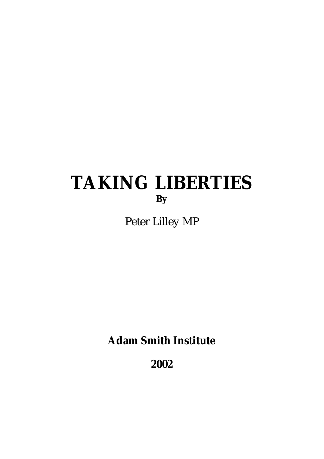# **TAKING LIBERTIES By**

Peter Lilley MP

**Adam Smith Institute**

**2002**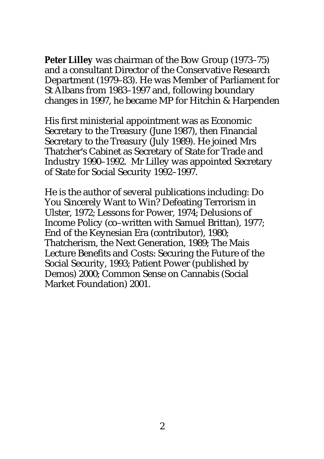**Peter Lilley** was chairman of the Bow Group (1973–75) and a consultant Director of the Conservative Research Department (1979–83). He was Member of Parliament for St Albans from 1983–1997 and, following boundary changes in 1997, he became MP for Hitchin & Harpenden

His first ministerial appointment was as Economic Secretary to the Treasury (June 1987), then Financial Secretary to the Treasury (July 1989). He joined Mrs Thatcher's Cabinet as Secretary of State for Trade and Industry 1990–1992. Mr Lilley was appointed Secretary of State for Social Security 1992–1997.

He is the author of several publications including: Do You Sincerely Want to Win? Defeating Terrorism in Ulster, 1972; Lessons for Power, 1974; Delusions of Income Policy (co–written with Samuel Brittan), 1977; End of the Keynesian Era (contributor), 1980; Thatcherism, the Next Generation, 1989; The Mais Lecture Benefits and Costs: Securing the Future of the Social Security, 1993; Patient Power (published by Demos) 2000; Common Sense on Cannabis (Social Market Foundation) 2001.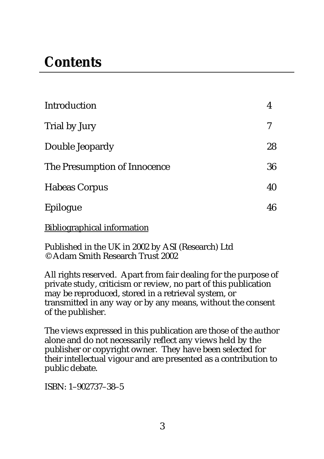# **Contents**

| <b>Introduction</b>          | 4  |
|------------------------------|----|
| Trial by Jury                | 7  |
| Double Jeopardy              | 28 |
| The Presumption of Innocence | 36 |
| <b>Habeas Corpus</b>         | 40 |
| Epilogue                     | 46 |

Bibliographical information

Published in the UK in 2002 by ASI (Research) Ltd © Adam Smith Research Trust 2002

All rights reserved. Apart from fair dealing for the purpose of private study, criticism or review, no part of this publication may be reproduced, stored in a retrieval system, or transmitted in any way or by any means, without the consent of the publisher.

The views expressed in this publication are those of the author alone and do not necessarily reflect any views held by the publisher or copyright owner. They have been selected for their intellectual vigour and are presented as a contribution to public debate.

ISBN: 1–902737–38–5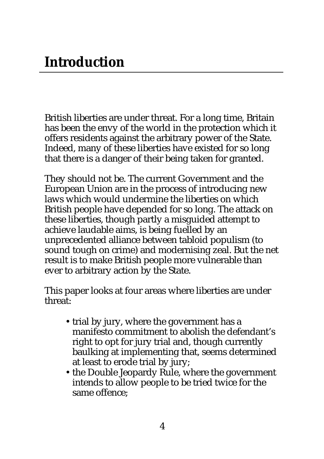British liberties are under threat. For a long time, Britain has been the envy of the world in the protection which it offers residents against the arbitrary power of the State. Indeed, many of these liberties have existed for so long that there is a danger of their being taken for granted.

They should not be. The current Government and the European Union are in the process of introducing new laws which would undermine the liberties on which British people have depended for so long. The attack on these liberties, though partly a misguided attempt to achieve laudable aims, is being fuelled by an unprecedented alliance between tabloid populism (to sound tough on crime) and modernising zeal. But the net result is to make British people more vulnerable than ever to arbitrary action by the State.

This paper looks at four areas where liberties are under threat:

- trial by jury, where the government has a manifesto commitment to abolish the defendant's right to opt for jury trial and, though currently baulking at implementing that, seems determined at least to erode trial by jury;
- the Double Jeopardy Rule, where the government intends to allow people to be tried twice for the same offence;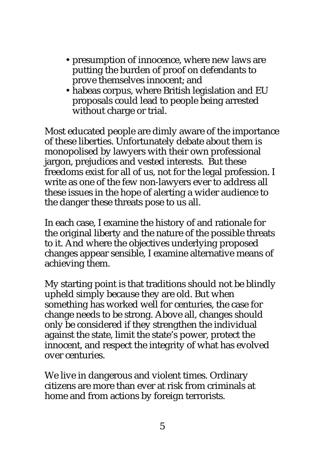- presumption of innocence, where new laws are putting the burden of proof on defendants to prove themselves innocent; and
- habeas corpus, where British legislation and EU proposals could lead to people being arrested without charge or trial.

Most educated people are dimly aware of the importance of these liberties. Unfortunately debate about them is monopolised by lawyers with their own professional jargon, prejudices and vested interests. But these freedoms exist for all of us, not for the legal profession. I write as one of the few non-lawyers ever to address all these issues in the hope of alerting a wider audience to the danger these threats pose to us all.

In each case, I examine the history of and rationale for the original liberty and the nature of the possible threats to it. And where the objectives underlying proposed changes appear sensible, I examine alternative means of achieving them.

My starting point is that traditions should not be blindly upheld simply because they are old. But when something has worked well for centuries, the case for change needs to be strong. Above all, changes should only be considered if they strengthen the individual against the state, limit the state's power, protect the innocent, and respect the integrity of what has evolved over centuries.

We live in dangerous and violent times. Ordinary citizens are more than ever at risk from criminals at home and from actions by foreign terrorists.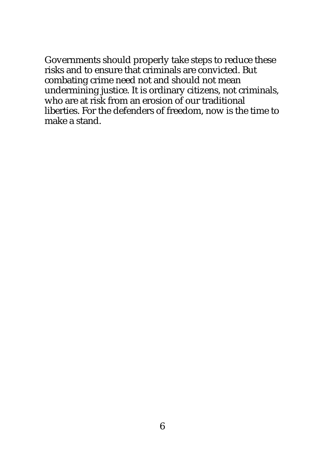Governments should properly take steps to reduce these risks and to ensure that criminals are convicted. But combating crime need not and should not mean undermining justice. It is ordinary citizens, not criminals, who are at risk from an erosion of our traditional liberties. For the defenders of freedom, now is the time to make a stand.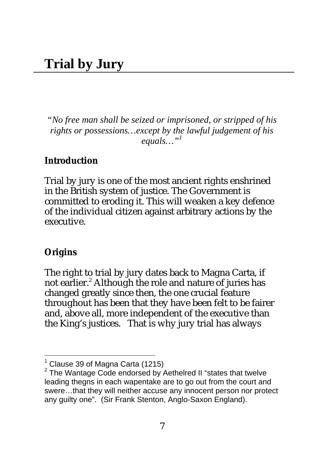*"No free man shall be seized or imprisoned, or stripped of his rights or possessions…except by the lawful judgement of his equals…"<sup>1</sup>*

#### **Introduction**

Trial by jury is one of the most ancient rights enshrined in the British system of justice. The Government is committed to eroding it. This will weaken a key defence of the individual citizen against arbitrary actions by the executive.

#### **Origins**

 $\overline{\phantom{a}}$ 

The right to trial by jury dates back to Magna Carta, if not earlier.<sup>2</sup> Although the role and nature of juries has changed greatly since then, the one crucial feature throughout has been that they have been felt to be fairer and, above all, more independent of the executive than the King's justices. That is why jury trial has always

 $<sup>1</sup>$  Clause 39 of Magna Carta (1215)</sup>

<sup>&</sup>lt;sup>2</sup> The Wantage Code endorsed by Aethelred II "states that twelve leading thegns in each wapentake are to go out from the court and swere…that they will neither accuse any innocent person nor protect any guilty one". (Sir Frank Stenton, Anglo-Saxon England).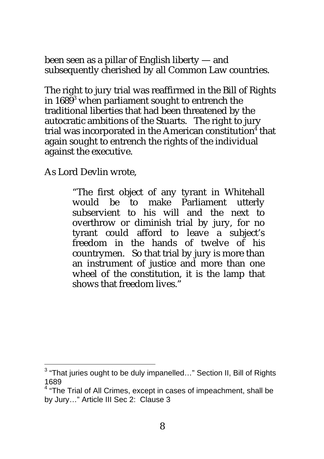been seen as a pillar of English liberty — and subsequently cherished by all Common Law countries.

The right to jury trial was reaffirmed in the Bill of Rights in 1689 $^3$  when parliament sought to entrench the traditional liberties that had been threatened by the autocratic ambitions of the Stuarts. The right to jury trial was incorporated in the American constitution<sup>4</sup> that again sought to entrench the rights of the individual against the executive.

As Lord Devlin wrote,

"The first object of any tyrant in Whitehall would be to make Parliament utterly subservient to his will and the next to overthrow or diminish trial by jury, for no tyrant could afford to leave a subject's freedom in the hands of twelve of his countrymen. So that trial by jury is more than an instrument of justice and more than one wheel of the constitution, it is the lamp that shows that freedom lives."

 3 "That juries ought to be duly impanelled…" Section II, Bill of Rights 1689

<sup>&</sup>lt;sup>4</sup> "The Trial of All Crimes, except in cases of impeachment, shall be by Jury…" Article III Sec 2: Clause 3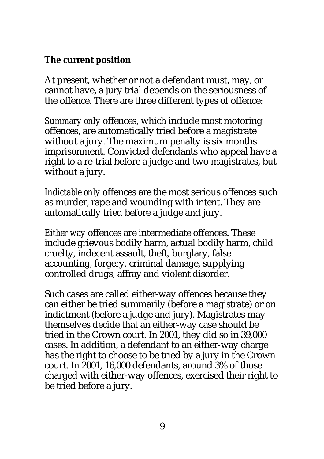#### **The current position**

At present, whether or not a defendant must, may, or cannot have, a jury trial depends on the seriousness of the offence. There are three different types of offence:

*Summary only* offences, which include most motoring offences, are automatically tried before a magistrate without a jury. The maximum penalty is six months imprisonment. Convicted defendants who appeal have a right to a re-trial before a judge and two magistrates, but without a jury.

*Indictable only* offences are the most serious offences such as murder, rape and wounding with intent. They are automatically tried before a judge and jury.

*Either way* offences are intermediate offences. These include grievous bodily harm, actual bodily harm, child cruelty, indecent assault, theft, burglary, false accounting, forgery, criminal damage, supplying controlled drugs, affray and violent disorder.

Such cases are called either-way offences because they can either be tried summarily (before a magistrate) or on indictment (before a judge and jury). Magistrates may themselves decide that an either-way case should be tried in the Crown court. In 2001, they did so in 39,000 cases. In addition, a defendant to an either-way charge has the right to choose to be tried by a jury in the Crown court. In 2001, 16,000 defendants, around 3% of those charged with either-way offences, exercised their right to be tried before a jury.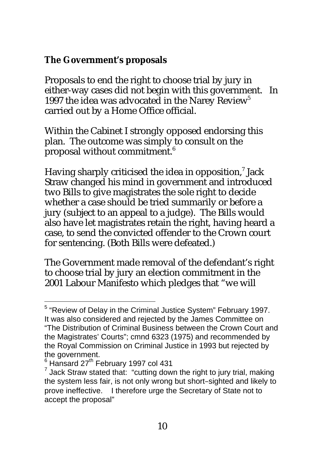#### **The Government's proposals**

Proposals to end the right to choose trial by jury in either-way cases did not begin with this government. In 1997 the idea was advocated in the Narey Review<sup>5</sup> carried out by a Home Office official.

Within the Cabinet I strongly opposed endorsing this plan. The outcome was simply to consult on the proposal without commitment.<sup>6</sup>

Having sharply criticised the idea in opposition, $^7$  Jack Straw changed his mind in government and introduced two Bills to give magistrates the sole right to decide whether a case should be tried summarily or before a jury (subject to an appeal to a judge). The Bills would also have let magistrates retain the right, having heard a case, to send the convicted offender to the Crown court for sentencing. (Both Bills were defeated.)

The Government made removal of the defendant's right to choose trial by jury an election commitment in the 2001 Labour Manifesto which pledges that "we will

 5 "Review of Delay in the Criminal Justice System" February 1997. It was also considered and rejected by the James Committee on "The Distribution of Criminal Business between the Crown Court and the Magistrates' Courts"; cmnd 6323 (1975) and recommended by the Royal Commission on Criminal Justice in 1993 but rejected by the government.

 $6$  Hansard 27<sup>th</sup> February 1997 col 431

 $7$  Jack Straw stated that: "cutting down the right to jury trial, making the system less fair, is not only wrong but short–sighted and likely to prove ineffective. I therefore urge the Secretary of State not to accept the proposal"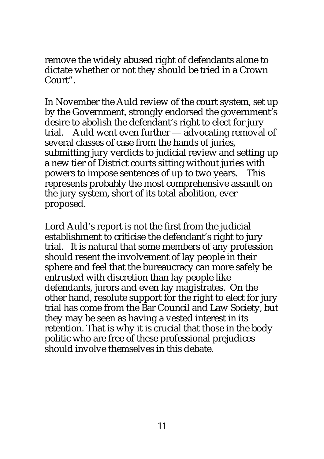remove the widely abused right of defendants alone to dictate whether or not they should be tried in a Crown Court".

In November the Auld review of the court system, set up by the Government, strongly endorsed the government's desire to abolish the defendant's right to elect for jury trial. Auld went even further — advocating removal of several classes of case from the hands of juries, submitting jury verdicts to judicial review and setting up a new tier of District courts sitting without juries with powers to impose sentences of up to two years. This represents probably the most comprehensive assault on the jury system, short of its total abolition, ever proposed.

Lord Auld's report is not the first from the judicial establishment to criticise the defendant's right to jury trial. It is natural that some members of any profession should resent the involvement of lay people in their sphere and feel that the bureaucracy can more safely be entrusted with discretion than lay people like defendants, jurors and even lay magistrates. On the other hand, resolute support for the right to elect for jury trial has come from the Bar Council and Law Society, but they may be seen as having a vested interest in its retention. That is why it is crucial that those in the body politic who are free of these professional prejudices should involve themselves in this debate.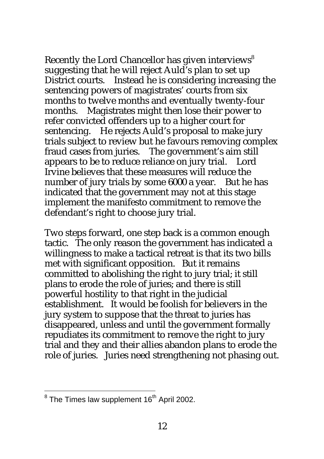Recently the Lord Chancellor has given interviews<sup>8</sup> suggesting that he will reject Auld's plan to set up District courts. Instead he is considering increasing the sentencing powers of magistrates' courts from six months to twelve months and eventually twenty-four months. Magistrates might then lose their power to refer convicted offenders up to a higher court for sentencing. He rejects Auld's proposal to make jury trials subject to review but he favours removing complex fraud cases from juries. The government's aim still appears to be to reduce reliance on jury trial. Lord Irvine believes that these measures will reduce the number of jury trials by some 6000 a year. But he has indicated that the government may not at this stage implement the manifesto commitment to remove the defendant's right to choose jury trial.

Two steps forward, one step back is a common enough tactic. The only reason the government has indicated a willingness to make a tactical retreat is that its two bills met with significant opposition. But it remains committed to abolishing the right to jury trial; it still plans to erode the role of juries; and there is still powerful hostility to that right in the judicial establishment. It would be foolish for believers in the jury system to suppose that the threat to juries has disappeared, unless and until the government formally repudiates its commitment to remove the right to jury trial and they and their allies abandon plans to erode the role of juries. Juries need strengthening not phasing out.

<sup>&</sup>lt;u>essen to the Times law supplement 16<sup>th</sup> April 2002.</u><br><sup>8</sup> The Times law supplement 16<sup>th</sup> April 2002.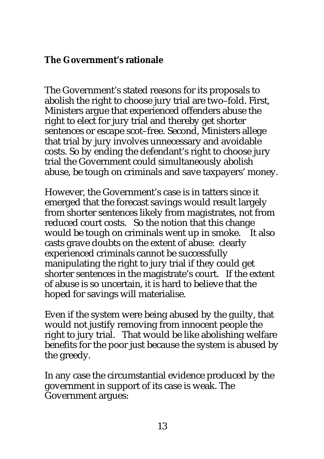#### **The Government's rationale**

The Government's stated reasons for its proposals to abolish the right to choose jury trial are two–fold. First, Ministers argue that experienced offenders abuse the right to elect for jury trial and thereby get shorter sentences or escape scot–free. Second, Ministers allege that trial by jury involves unnecessary and avoidable costs. So by ending the defendant's right to choose jury trial the Government could simultaneously abolish abuse, be tough on criminals and save taxpayers' money.

However, the Government's case is in tatters since it emerged that the forecast savings would result largely from shorter sentences likely from magistrates, not from reduced court costs. So the notion that this change would be tough on criminals went up in smoke. It also casts grave doubts on the extent of abuse: clearly experienced criminals cannot be successfully manipulating the right to jury trial if they could get shorter sentences in the magistrate's court. If the extent of abuse is so uncertain, it is hard to believe that the hoped for savings will materialise.

Even if the system were being abused by the guilty, that would not justify removing from innocent people the right to jury trial. That would be like abolishing welfare benefits for the poor just because the system is abused by the greedy.

In any case the circumstantial evidence produced by the government in support of its case is weak. The Government argues: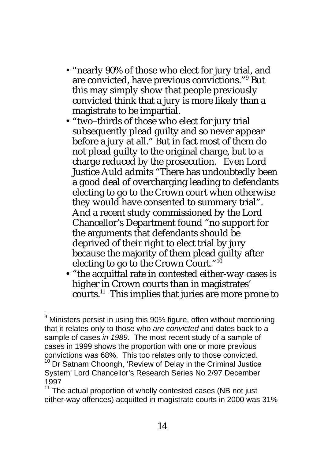- "nearly 90% of those who elect for jury trial, and are convicted, have previous convictions."<sup>9</sup> But this may simply show that people previously convicted think that a jury is more likely than a magistrate to be impartial.
- "two–thirds of those who elect for jury trial subsequently plead guilty and so never appear before a jury at all." But in fact most of them do not plead guilty to the original charge, but to a charge reduced by the prosecution. Even Lord Justice Auld admits "There has undoubtedly been a good deal of overcharging leading to defendants electing to go to the Crown court when otherwise they would have consented to summary trial". And a recent study commissioned by the Lord Chancellor's Department found "no support for the arguments that defendants should be deprived of their right to elect trial by jury because the majority of them plead guilty after electing to go to the Crown Court."<sup>10</sup>
- "the acquittal rate in contested either-way cases is higher in Crown courts than in magistrates' courts.<sup>11</sup> This implies that juries are more prone to

l

<sup>&</sup>lt;sup>9</sup> Ministers persist in using this 90% figure, often without mentioning that it relates only to those who *are convicted* and dates back to a sample of cases *in 1989*. The most recent study of a sample of cases in 1999 shows the proportion with one or more previous convictions was 68%. This too relates only to those convicted.

 $10$  Dr Satnam Choongh, 'Review of Delay in the Criminal Justice System' Lord Chancellor's Research Series No 2/97 December 1997

 $11$  The actual proportion of wholly contested cases (NB not just either-way offences) acquitted in magistrate courts in 2000 was 31%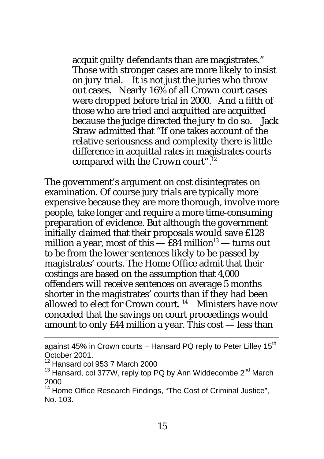acquit guilty defendants than are magistrates." Those with stronger cases are more likely to insist on jury trial. It is not just the juries who throw out cases. Nearly 16% of all Crown court cases were dropped before trial in 2000. And a fifth of those who are tried and acquitted are acquitted because the judge directed the jury to do so. Jack Straw admitted that "If one takes account of the relative seriousness and complexity there is little difference in acquittal rates in magistrates courts compared with the Crown court".<sup>12</sup>

The government's argument on cost disintegrates on examination. Of course jury trials are typically more expensive because they are more thorough, involve more people, take longer and require a more time-consuming preparation of evidence. But although the government initially claimed that their proposals would save £128 million a year, most of this  $-$  £84 million<sup>13</sup> — turns out to be from the lower sentences likely to be passed by magistrates' courts. The Home Office admit that their costings are based on the assumption that 4,000 offenders will receive sentences on average 5 months shorter in the magistrates' courts than if they had been allowed to elect for Crown court.  $14$  Ministers have now conceded that the savings on court proceedings would amount to only £44 million a year. This cost — less than

l

against 45% in Crown courts – Hansard PQ reply to Peter Lilley 15<sup>th</sup> October 2001.

 $12$  Hansard col 953 7 March 2000

 $13$  Hansard, col 377W, reply top PQ by Ann Widdecombe  $2<sup>nd</sup>$  March 2000

<sup>&</sup>lt;sup>14</sup> Home Office Research Findings, "The Cost of Criminal Justice", No. 103.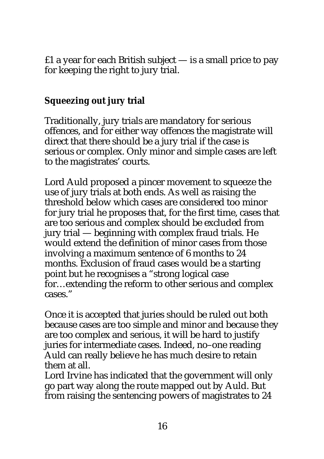$£1$  a year for each British subject  $-$  is a small price to pay for keeping the right to jury trial.

## **Squeezing out jury trial**

Traditionally, jury trials are mandatory for serious offences, and for either way offences the magistrate will direct that there should be a jury trial if the case is serious or complex. Only minor and simple cases are left to the magistrates' courts.

Lord Auld proposed a pincer movement to squeeze the use of jury trials at both ends. As well as raising the threshold below which cases are considered too minor for jury trial he proposes that, for the first time, cases that are too serious and complex should be excluded from jury trial — beginning with complex fraud trials. He would extend the definition of minor cases from those involving a maximum sentence of 6 months to 24 months. Exclusion of fraud cases would be a starting point but he recognises a "strong logical case for…extending the reform to other serious and complex cases."

Once it is accepted that juries should be ruled out both because cases are too simple and minor and because they are too complex and serious, it will be hard to justify juries for intermediate cases. Indeed, no–one reading Auld can really believe he has much desire to retain them at all.

Lord Irvine has indicated that the government will only go part way along the route mapped out by Auld. But from raising the sentencing powers of magistrates to 24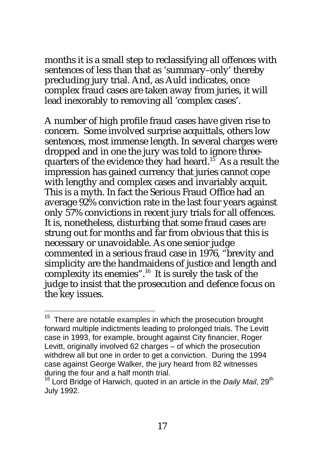months it is a small step to reclassifying all offences with sentences of less than that as 'summary–only' thereby precluding jury trial. And, as Auld indicates, once complex fraud cases are taken away from juries, it will lead inexorably to removing all 'complex cases'.

A number of high profile fraud cases have given rise to concern. Some involved surprise acquittals, others low sentences, most immense length. In several charges were dropped and in one the jury was told to ignore threequarters of the evidence they had heard.<sup>15</sup> As a result the impression has gained currency that juries cannot cope with lengthy and complex cases and invariably acquit. This is a myth. In fact the Serious Fraud Office had an average 92% conviction rate in the last four years against only 57% convictions in recent jury trials for all offences. It is, nonetheless, disturbing that some fraud cases are strung out for months and far from obvious that this is necessary or unavoidable. As one senior judge commented in a serious fraud case in 1976, "brevity and simplicity are the handmaidens of justice and length and complexity its enemies".<sup>16</sup> It is surely the task of the judge to insist that the prosecution and defence focus on the key issues.

l

 $15$  There are notable examples in which the prosecution brought forward multiple indictments leading to prolonged trials. The Levitt case in 1993, for example, brought against City financier, Roger Levitt, originally involved 62 charges – of which the prosecution withdrew all but one in order to get a conviction. During the 1994 case against George Walker, the jury heard from 82 witnesses during the four and a half month trial.

<sup>&</sup>lt;sup>16</sup> Lord Bridge of Harwich, quoted in an article in the *Daily Mail*, 29<sup>th</sup> July 1992.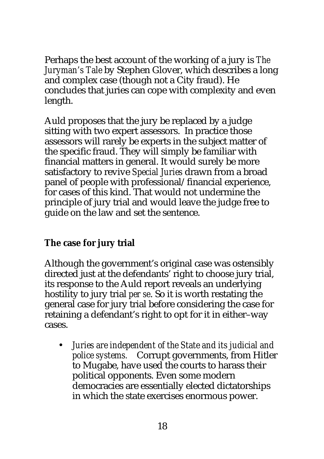Perhaps the best account of the working of a jury is *The Juryman's Tale* by Stephen Glover, which describes a long and complex case (though not a City fraud). He concludes that juries can cope with complexity and even length.

Auld proposes that the jury be replaced by a judge sitting with two expert assessors. In practice those assessors will rarely be experts in the subject matter of the specific fraud. They will simply be familiar with financial matters in general. It would surely be more satisfactory to revive *Special Juries* drawn from a broad panel of people with professional/financial experience, for cases of this kind. That would not undermine the principle of jury trial and would leave the judge free to guide on the law and set the sentence.

## **The case for jury trial**

Although the government's original case was ostensibly directed just at the defendants' right to choose jury trial, its response to the Auld report reveals an underlying hostility to jury trial *per se*. So it is worth restating the general case for jury trial before considering the case for retaining a defendant's right to opt for it in either–way cases.

• *Juries are independent of the State and its judicial and police systems.* Corrupt governments, from Hitler to Mugabe, have used the courts to harass their political opponents. Even some modern democracies are essentially elected dictatorships in which the state exercises enormous power.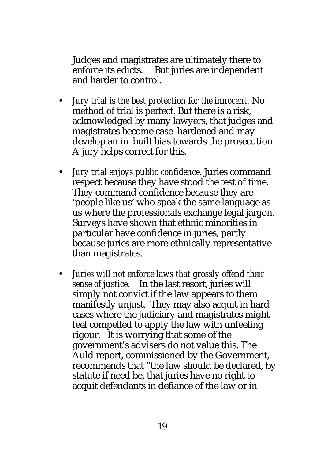Judges and magistrates are ultimately there to enforce its edicts. But juries are independent and harder to control.

- *Jury trial is the best protection for the innocent.* No method of trial is perfect. But there is a risk, acknowledged by many lawyers, that judges and magistrates become case–hardened and may develop an in–built bias towards the prosecution. A jury helps correct for this.
- *Jury trial enjoys public confidence.* Juries command respect because they have stood the test of time. They command confidence because they are 'people like us' who speak the same language as us where the professionals exchange legal jargon. Surveys have shown that ethnic minorities in particular have confidence in juries, partly because juries are more ethnically representative than magistrates.
- *Juries will not enforce laws that grossly offend their sense of justice.* In the last resort, juries will simply not convict if the law appears to them manifestly unjust. They may also acquit in hard cases where the judiciary and magistrates might feel compelled to apply the law with unfeeling rigour. It is worrying that some of the government's advisers do not value this. The Auld report, commissioned by the Government, recommends that "the law should be declared, by statute if need be, that juries have no right to acquit defendants in defiance of the law or in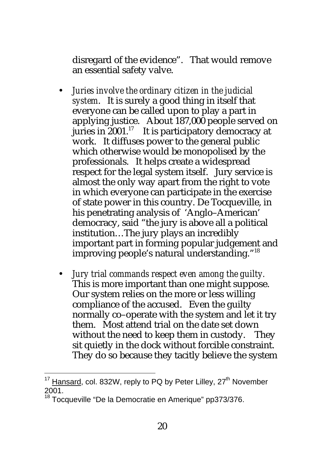disregard of the evidence". That would remove an essential safety valve.

- *Juries involve the ordinary citizen in the judicial system*. It is surely a good thing in itself that everyone can be called upon to play a part in applying justice. About 187,000 people served on juries in  $2001$ <sup>17</sup> It is participatory democracy at work. It diffuses power to the general public which otherwise would be monopolised by the professionals. It helps create a widespread respect for the legal system itself. Jury service is almost the only way apart from the right to vote in which everyone can participate in the exercise of state power in this country. De Tocqueville, in his penetrating analysis of 'Anglo–American' democracy, said "the jury is above all a political institution…The jury plays an incredibly important part in forming popular judgement and improving people's natural understanding."<sup>18</sup>
- *Jury trial commands respect even among the guilty.* This is more important than one might suppose. Our system relies on the more or less willing compliance of the accused. Even the guilty normally co–operate with the system and let it try them. Most attend trial on the date set down without the need to keep them in custody. They sit quietly in the dock without forcible constraint. They do so because they tacitly believe the system

 $\overline{a}$ 

 $17$  Hansard, col. 832W, reply to PQ by Peter Lilley, 27<sup>th</sup> November 2001.

<sup>&</sup>lt;sup>18</sup> Tocqueville "De la Democratie en Amerique" pp373/376.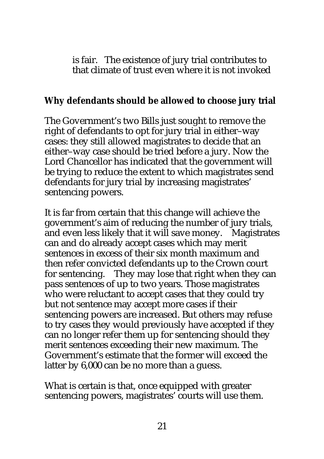is fair. The existence of jury trial contributes to that climate of trust even where it is not invoked

#### **Why defendants should be allowed to choose jury trial**

The Government's two Bills just sought to remove the right of defendants to opt for jury trial in either–way cases: they still allowed magistrates to decide that an either–way case should be tried before a jury. Now the Lord Chancellor has indicated that the government will be trying to reduce the extent to which magistrates send defendants for jury trial by increasing magistrates' sentencing powers.

It is far from certain that this change will achieve the government's aim of reducing the number of jury trials, and even less likely that it will save money. Magistrates can and do already accept cases which may merit sentences in excess of their six month maximum and then refer convicted defendants up to the Crown court for sentencing. They may lose that right when they can pass sentences of up to two years. Those magistrates who were reluctant to accept cases that they could try but not sentence may accept more cases if their sentencing powers are increased. But others may refuse to try cases they would previously have accepted if they can no longer refer them up for sentencing should they merit sentences exceeding their new maximum. The Government's estimate that the former will exceed the latter by 6,000 can be no more than a guess.

What is certain is that, once equipped with greater sentencing powers, magistrates' courts will use them.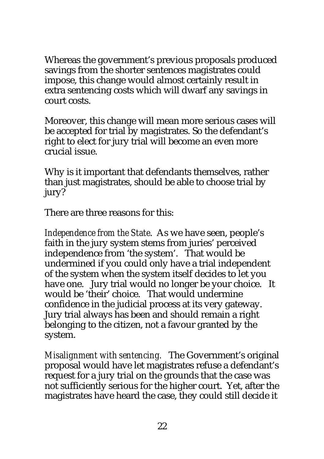Whereas the government's previous proposals produced savings from the shorter sentences magistrates could impose, this change would almost certainly result in extra sentencing costs which will dwarf any savings in court costs.

Moreover, this change will mean more serious cases will be accepted for trial by magistrates. So the defendant's right to elect for jury trial will become an even more crucial issue.

Why is it important that defendants themselves, rather than just magistrates, should be able to choose trial by jury?

There are three reasons for this:

*Independence from the State*. As we have seen, people's faith in the jury system stems from juries' perceived independence from 'the system'. That would be undermined if you could only have a trial independent of the system when the system itself decides to let you have one. Jury trial would no longer be your choice. It would be 'their' choice. That would undermine confidence in the judicial process at its very gateway. Jury trial always has been and should remain a right belonging to the citizen, not a favour granted by the system.

*Misalignment with sentencing.* The Government's original proposal would have let magistrates refuse a defendant's request for a jury trial on the grounds that the case was not sufficiently serious for the higher court. Yet, after the magistrates have heard the case, they could still decide it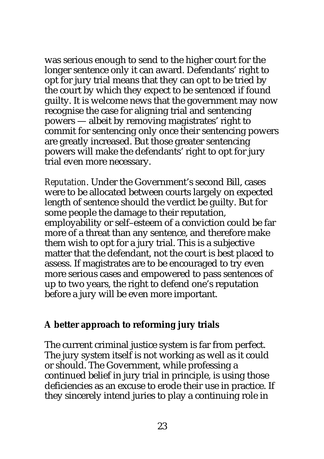was serious enough to send to the higher court for the longer sentence only it can award. Defendants' right to opt for jury trial means that they can opt to be tried by the court by which they expect to be sentenced if found guilty. It is welcome news that the government may now recognise the case for aligning trial and sentencing powers — albeit by removing magistrates' right to commit for sentencing only once their sentencing powers are greatly increased. But those greater sentencing powers will make the defendants' right to opt for jury trial even more necessary.

*Reputation*. Under the Government's second Bill, cases were to be allocated between courts largely on expected length of sentence should the verdict be guilty. But for some people the damage to their reputation, employability or self–esteem of a conviction could be far more of a threat than any sentence, and therefore make them wish to opt for a jury trial. This is a subjective matter that the defendant, not the court is best placed to assess. If magistrates are to be encouraged to try even more serious cases and empowered to pass sentences of up to two years, the right to defend one's reputation before a jury will be even more important.

#### **A better approach to reforming jury trials**

The current criminal justice system is far from perfect. The jury system itself is not working as well as it could or should. The Government, while professing a continued belief in jury trial in principle, is using those deficiencies as an excuse to erode their use in practice. If they sincerely intend juries to play a continuing role in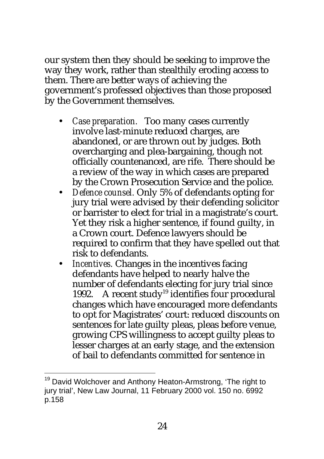our system then they should be seeking to improve the way they work, rather than stealthily eroding access to them. There are better ways of achieving the government's professed objectives than those proposed by the Government themselves.

- *Case preparation.* Too many cases currently involve last-minute reduced charges, are abandoned, or are thrown out by judges. Both overcharging and plea-bargaining, though not officially countenanced, are rife. There should be a review of the way in which cases are prepared by the Crown Prosecution Service and the police.
- *Defence counsel.* Only 5% of defendants opting for jury trial were advised by their defending solicitor or barrister to elect for trial in a magistrate's court. Yet they risk a higher sentence, if found guilty, in a Crown court. Defence lawyers should be required to confirm that they have spelled out that risk to defendants.
- *Incentives.* Changes in the incentives facing defendants have helped to nearly halve the number of defendants electing for jury trial since 1992. A recent study<sup>19</sup> identifies four procedural changes which have encouraged more defendants to opt for Magistrates' court: reduced discounts on sentences for late guilty pleas, pleas before venue, growing CPS willingness to accept guilty pleas to lesser charges at an early stage, and the extension of bail to defendants committed for sentence in

 $\overline{a}$ 

<sup>&</sup>lt;sup>19</sup> David Wolchover and Anthony Heaton-Armstrong, 'The right to jury trial', New Law Journal, 11 February 2000 vol. 150 no. 6992 p.158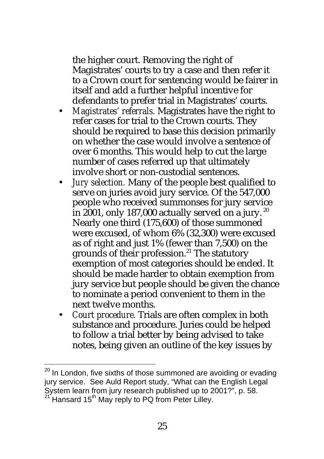the higher court. Removing the right of Magistrates' courts to try a case and then refer it to a Crown court for sentencing would be fairer in itself and add a further helpful incentive for defendants to prefer trial in Magistrates' courts.

- *Magistrates' referrals.* Magistrates have the right to refer cases for trial to the Crown courts. They should be required to base this decision primarily on whether the case would involve a sentence of over 6 months. This would help to cut the large number of cases referred up that ultimately involve short or non-custodial sentences.
- *Jury selection.* Many of the people best qualified to serve on juries avoid jury service. Of the 547,000 people who received summonses for jury service in 2001, only 187,000 actually served on a jury.<sup>20</sup> Nearly one third (175,600) of those summoned were excused, of whom 6% (32,300) were excused as of right and just 1% (fewer than 7,500) on the grounds of their profession.<sup>21</sup> The statutory exemption of most categories should be ended. It should be made harder to obtain exemption from jury service but people should be given the chance to nominate a period convenient to them in the next twelve months.
- *Court procedure.* Trials are often complex in both substance and procedure. Juries could be helped to follow a trial better by being advised to take notes, being given an outline of the key issues by

l

 $^{20}$  In London, five sixths of those summoned are avoiding or evading jury service. See Auld Report study, "What can the English Legal System learn from jury research published up to 2001?", p. 58. Hansard  $15<sup>th</sup>$  May reply to PQ from Peter Lilley.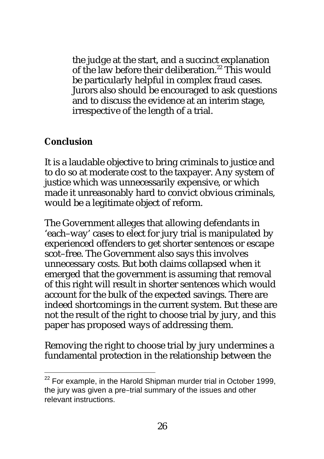the judge at the start, and a succinct explanation of the law before their deliberation.<sup>22</sup> This would be particularly helpful in complex fraud cases. Jurors also should be encouraged to ask questions and to discuss the evidence at an interim stage, irrespective of the length of a trial.

#### **Conclusion**

 $\overline{a}$ 

It is a laudable objective to bring criminals to justice and to do so at moderate cost to the taxpayer. Any system of justice which was unnecessarily expensive, or which made it unreasonably hard to convict obvious criminals, would be a legitimate object of reform.

The Government alleges that allowing defendants in 'each–way' cases to elect for jury trial is manipulated by experienced offenders to get shorter sentences or escape scot–free. The Government also says this involves unnecessary costs. But both claims collapsed when it emerged that the government is assuming that removal of this right will result in shorter sentences which would account for the bulk of the expected savings. There are indeed shortcomings in the current system. But these are not the result of the right to choose trial by jury, and this paper has proposed ways of addressing them.

Removing the right to choose trial by jury undermines a fundamental protection in the relationship between the

 $22$  For example, in the Harold Shipman murder trial in October 1999, the jury was given a pre–trial summary of the issues and other relevant instructions.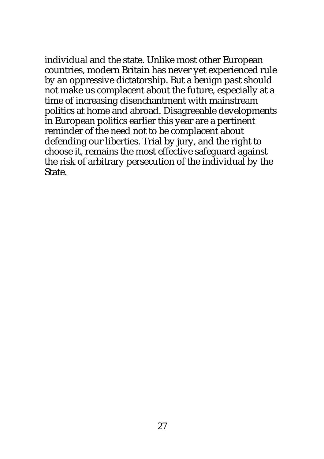individual and the state. Unlike most other European countries, modern Britain has never yet experienced rule by an oppressive dictatorship. But a benign past should not make us complacent about the future, especially at a time of increasing disenchantment with mainstream politics at home and abroad. Disagreeable developments in European politics earlier this year are a pertinent reminder of the need not to be complacent about defending our liberties. Trial by jury, and the right to choose it, remains the most effective safeguard against the risk of arbitrary persecution of the individual by the State.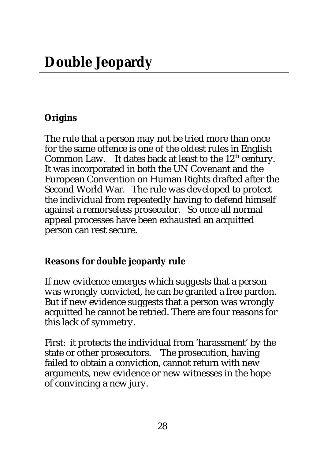# **Origins**

The rule that a person may not be tried more than once for the same offence is one of the oldest rules in English Common Law. It dates back at least to the  $12<sup>th</sup>$  century. It was incorporated in both the UN Covenant and the European Convention on Human Rights drafted after the Second World War. The rule was developed to protect the individual from repeatedly having to defend himself against a remorseless prosecutor. So once all normal appeal processes have been exhausted an acquitted person can rest secure.

# **Reasons for double jeopardy rule**

If new evidence emerges which suggests that a person was wrongly convicted, he can be granted a free pardon. But if new evidence suggests that a person was wrongly acquitted he cannot be retried. There are four reasons for this lack of symmetry.

First: it protects the individual from 'harassment' by the state or other prosecutors. The prosecution, having failed to obtain a conviction, cannot return with new arguments, new evidence or new witnesses in the hope of convincing a new jury.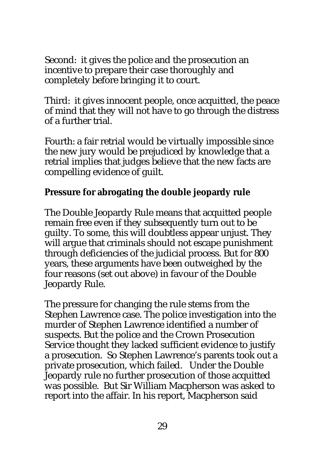Second: it gives the police and the prosecution an incentive to prepare their case thoroughly and completely before bringing it to court.

Third: it gives innocent people, once acquitted, the peace of mind that they will not have to go through the distress of a further trial.

Fourth: a fair retrial would be virtually impossible since the new jury would be prejudiced by knowledge that a retrial implies that judges believe that the new facts are compelling evidence of guilt.

#### **Pressure for abrogating the double jeopardy rule**

The Double Jeopardy Rule means that acquitted people remain free even if they subsequently turn out to be guilty. To some, this will doubtless appear unjust. They will argue that criminals should not escape punishment through deficiencies of the judicial process. But for 800 years, these arguments have been outweighed by the four reasons (set out above) in favour of the Double Jeopardy Rule.

The pressure for changing the rule stems from the Stephen Lawrence case. The police investigation into the murder of Stephen Lawrence identified a number of suspects. But the police and the Crown Prosecution Service thought they lacked sufficient evidence to justify a prosecution. So Stephen Lawrence's parents took out a private prosecution, which failed. Under the Double Jeopardy rule no further prosecution of those acquitted was possible. But Sir William Macpherson was asked to report into the affair. In his report, Macpherson said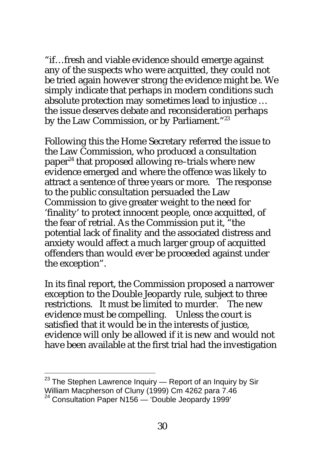"if…fresh and viable evidence should emerge against any of the suspects who were acquitted, they could not be tried again however strong the evidence might be. We simply indicate that perhaps in modern conditions such absolute protection may sometimes lead to injustice … the issue deserves debate and reconsideration perhaps by the Law Commission, or by Parliament."<sup>23</sup>

Following this the Home Secretary referred the issue to the Law Commission, who produced a consultation paper<sup>24</sup> that proposed allowing re-trials where new evidence emerged and where the offence was likely to attract a sentence of three years or more. The response to the public consultation persuaded the Law Commission to give greater weight to the need for 'finality' to protect innocent people, once acquitted, of the fear of retrial. As the Commission put it, "the potential lack of finality and the associated distress and anxiety would affect a much larger group of acquitted offenders than would ever be proceeded against under the exception".

In its final report, the Commission proposed a narrower exception to the Double Jeopardy rule, subject to three restrictions. It must be limited to murder. The new evidence must be compelling. Unless the court is satisfied that it would be in the interests of justice, evidence will only be allowed if it is new and would not have been available at the first trial had the investigation

 $\overline{a}$  $23$  The Stephen Lawrence Inquiry  $-$  Report of an Inquiry by Sir William Macpherson of Cluny (1999) Cm 4262 para 7.46

<sup>&</sup>lt;sup>24</sup> Consultation Paper N156 - 'Double Jeopardy 1999'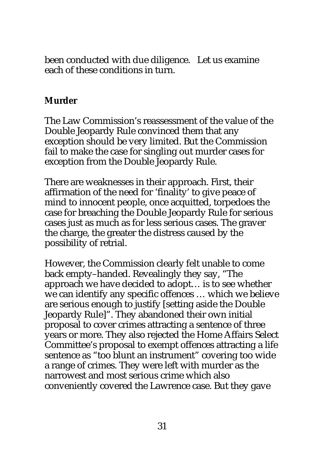been conducted with due diligence. Let us examine each of these conditions in turn.

#### **Murder**

The Law Commission's reassessment of the value of the Double Jeopardy Rule convinced them that any exception should be very limited. But the Commission fail to make the case for singling out murder cases for exception from the Double Jeopardy Rule.

There are weaknesses in their approach. First, their affirmation of the need for 'finality' to give peace of mind to innocent people, once acquitted, torpedoes the case for breaching the Double Jeopardy Rule for serious cases just as much as for less serious cases. The graver the charge, the greater the distress caused by the possibility of retrial.

However, the Commission clearly felt unable to come back empty–handed. Revealingly they say, "The approach we have decided to adopt… is to see whether we can identify any specific offences … which we believe are serious enough to justify [setting aside the Double Jeopardy Rule]". They abandoned their own initial proposal to cover crimes attracting a sentence of three years or more. They also rejected the Home Affairs Select Committee's proposal to exempt offences attracting a life sentence as "too blunt an instrument" covering too wide a range of crimes. They were left with murder as the narrowest and most serious crime which also conveniently covered the Lawrence case. But they gave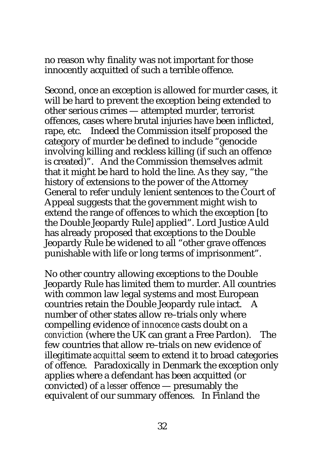no reason why finality was not important for those innocently acquitted of such a terrible offence.

Second, once an exception is allowed for murder cases, it will be hard to prevent the exception being extended to other serious crimes — attempted murder, terrorist offences, cases where brutal injuries have been inflicted, rape, etc. Indeed the Commission itself proposed the category of murder be defined to include "genocide involving killing and reckless killing (if such an offence is created)". And the Commission themselves admit that it might be hard to hold the line. As they say, "the history of extensions to the power of the Attorney General to refer unduly lenient sentences to the Court of Appeal suggests that the government might wish to extend the range of offences to which the exception [to the Double Jeopardy Rule] applied". Lord Justice Auld has already proposed that exceptions to the Double Jeopardy Rule be widened to all "other grave offences punishable with life or long terms of imprisonment".

No other country allowing exceptions to the Double Jeopardy Rule has limited them to murder. All countries with common law legal systems and most European countries retain the Double Jeopardy rule intact. A number of other states allow re–trials only where compelling evidence of *innocence* casts doubt on a *conviction* (where the UK can grant a Free Pardon). The few countries that allow re–trials on new evidence of illegitimate *acquittal* seem to extend it to broad categories of offence. Paradoxically in Denmark the exception only applies where a defendant has been acquitted (or convicted) of a *lesser* offence — presumably the equivalent of our summary offences. In Finland the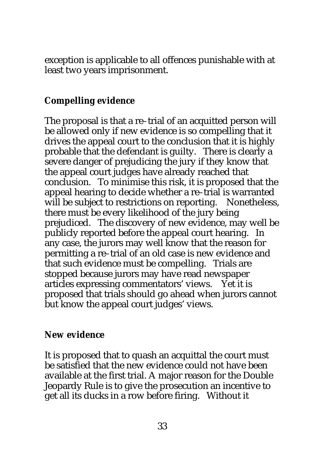exception is applicable to all offences punishable with at least two years imprisonment.

## **Compelling evidence**

The proposal is that a re*–*trial of an acquitted person will be allowed only if new evidence is so compelling that it drives the appeal court to the conclusion that it is highly probable that the defendant is guilty. There is clearly a severe danger of prejudicing the jury if they know that the appeal court judges have already reached that conclusion. To minimise this risk, it is proposed that the appeal hearing to decide whether a re*–*trial is warranted will be subject to restrictions on reporting. Nonetheless, there must be every likelihood of the jury being prejudiced. The discovery of new evidence, may well be publicly reported before the appeal court hearing. In any case, the jurors may well know that the reason for permitting a re*–*trial of an old case is new evidence and that such evidence must be compelling. Trials are stopped because jurors may have read newspaper articles expressing commentators' views. Yet it is proposed that trials should go ahead when jurors cannot but know the appeal court judges' views.

#### **New evidence**

It is proposed that to quash an acquittal the court must be satisfied that the new evidence could not have been available at the first trial. A major reason for the Double Jeopardy Rule is to give the prosecution an incentive to get all its ducks in a row before firing. Without it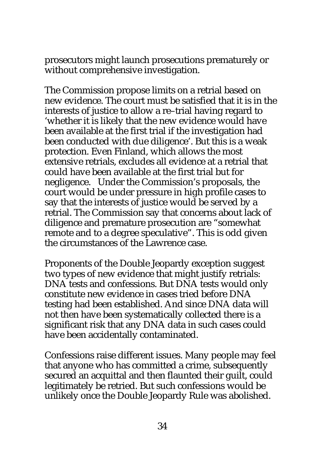prosecutors might launch prosecutions prematurely or without comprehensive investigation.

The Commission propose limits on a retrial based on new evidence. The court must be satisfied that it is in the interests of justice to allow a re–trial having regard to 'whether it is likely that the new evidence would have been available at the first trial if the investigation had been conducted with due diligence'. But this is a weak protection. Even Finland, which allows the most extensive retrials, excludes all evidence at a retrial that could have been available at the first trial but for negligence. Under the Commission's proposals, the court would be under pressure in high profile cases to say that the interests of justice would be served by a retrial. The Commission say that concerns about lack of diligence and premature prosecution are "somewhat remote and to a degree speculative". This is odd given the circumstances of the Lawrence case.

Proponents of the Double Jeopardy exception suggest two types of new evidence that might justify retrials: DNA tests and confessions. But DNA tests would only constitute new evidence in cases tried before DNA testing had been established. And since DNA data will not then have been systematically collected there is a significant risk that any DNA data in such cases could have been accidentally contaminated.

Confessions raise different issues. Many people may feel that anyone who has committed a crime, subsequently secured an acquittal and then flaunted their guilt, could legitimately be retried. But such confessions would be unlikely once the Double Jeopardy Rule was abolished.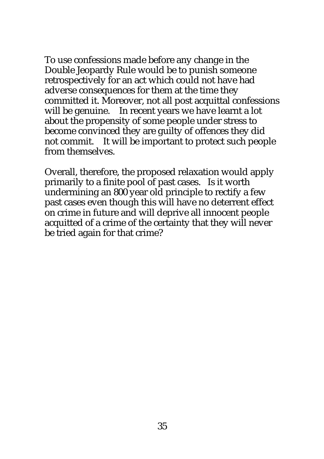To use confessions made before any change in the Double Jeopardy Rule would be to punish someone retrospectively for an act which could not have had adverse consequences for them at the time they committed it. Moreover, not all post acquittal confessions will be genuine. In recent years we have learnt a lot about the propensity of some people under stress to become convinced they are guilty of offences they did not commit. It will be important to protect such people from themselves.

Overall, therefore, the proposed relaxation would apply primarily to a finite pool of past cases. Is it worth undermining an 800 year old principle to rectify a few past cases even though this will have no deterrent effect on crime in future and will deprive all innocent people acquitted of a crime of the certainty that they will never be tried again for that crime?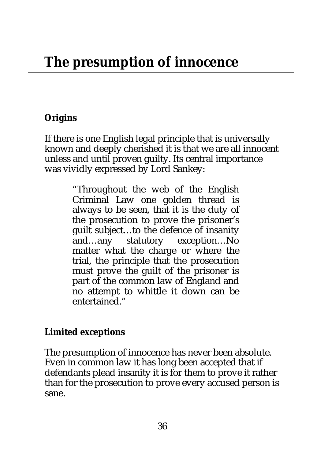# **Origins**

If there is one English legal principle that is universally known and deeply cherished it is that we are all innocent unless and until proven guilty. Its central importance was vividly expressed by Lord Sankey:

> "Throughout the web of the English Criminal Law one golden thread is always to be seen, that it is the duty of the prosecution to prove the prisoner's guilt subject…to the defence of insanity and…any statutory exception…No matter what the charge or where the trial, the principle that the prosecution must prove the guilt of the prisoner is part of the common law of England and no attempt to whittle it down can be entertained."

## **Limited exceptions**

The presumption of innocence has never been absolute. Even in common law it has long been accepted that if defendants plead insanity it is for them to prove it rather than for the prosecution to prove every accused person is sane.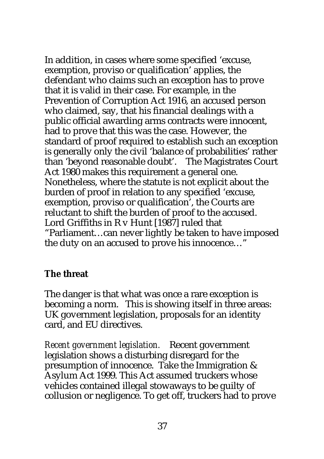In addition, in cases where some specified 'excuse, exemption, proviso or qualification' applies, the defendant who claims such an exception has to prove that it is valid in their case. For example, in the Prevention of Corruption Act 1916, an accused person who claimed, say, that his financial dealings with a public official awarding arms contracts were innocent, had to prove that this was the case. However, the standard of proof required to establish such an exception is generally only the civil 'balance of probabilities' rather than 'beyond reasonable doubt'. The Magistrates Court Act 1980 makes this requirement a general one. Nonetheless, where the statute is not explicit about the burden of proof in relation to any specified 'excuse, exemption, proviso or qualification', the Courts are reluctant to shift the burden of proof to the accused. Lord Griffiths in R v Hunt [1987] ruled that "Parliament…can never lightly be taken to have imposed the duty on an accused to prove his innocence…"

#### **The threat**

The danger is that what was once a rare exception is becoming a norm. This is showing itself in three areas: UK government legislation, proposals for an identity card, and EU directives.

*Recent government legislation.* Recent government legislation shows a disturbing disregard for the presumption of innocence. Take the Immigration & Asylum Act 1999. This Act assumed truckers whose vehicles contained illegal stowaways to be guilty of collusion or negligence. To get off, truckers had to prove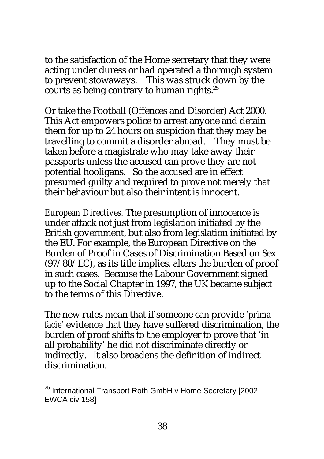to the satisfaction of the Home secretary that they were acting under duress or had operated a thorough system to prevent stowaways. This was struck down by the courts as being contrary to human rights.<sup>25</sup>

Or take the Football (Offences and Disorder) Act 2000. This Act empowers police to arrest anyone and detain them for up to 24 hours on suspicion that they may be travelling to commit a disorder abroad. They must be taken before a magistrate who may take away their passports unless the accused can prove they are not potential hooligans. So the accused are in effect presumed guilty and required to prove not merely that their behaviour but also their intent is innocent.

*European Directives.* The presumption of innocence is under attack not just from legislation initiated by the British government, but also from legislation initiated by the EU. For example, the European Directive on the Burden of Proof in Cases of Discrimination Based on Sex (97/80/EC), as its title implies, alters the burden of proof in such cases. Because the Labour Government signed up to the Social Chapter in 1997, the UK became subject to the terms of this Directive.

The new rules mean that if someone can provide *'prima facie'* evidence that they have suffered discrimination, the burden of proof shifts to the employer to prove that 'in all probability' he did not discriminate directly or indirectly. It also broadens the definition of indirect discrimination.

 $\overline{a}$ 

<sup>&</sup>lt;sup>25</sup> International Transport Roth GmbH v Home Secretary [2002] EWCA civ 158]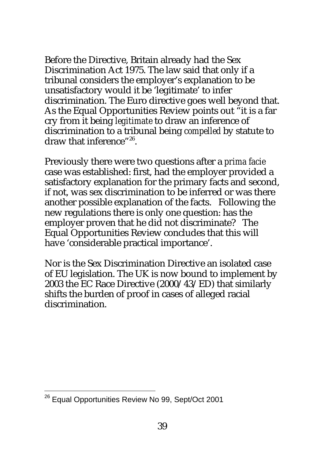Before the Directive, Britain already had the Sex Discrimination Act 1975. The law said that only if a tribunal considers the employer's explanation to be unsatisfactory would it be 'legitimate' to infer discrimination. The Euro directive goes well beyond that. As the Equal Opportunities Review points out "it is a far cry from it being *legitimate* to draw an inference of discrimination to a tribunal being *compelled* by statute to draw that inference"<sup>26</sup>.

Previously there were two questions after a *prima facie* case was established: first, had the employer provided a satisfactory explanation for the primary facts and second, if not, was sex discrimination to be inferred or was there another possible explanation of the facts. Following the new regulations there is only one question: has the employer proven that he did not discriminate? The Equal Opportunities Review concludes that this will have 'considerable practical importance'.

Nor is the Sex Discrimination Directive an isolated case of EU legislation. The UK is now bound to implement by 2003 the EC Race Directive (2000/43/ED) that similarly shifts the burden of proof in cases of alleged racial discrimination.

l

<sup>&</sup>lt;sup>26</sup> Equal Opportunities Review No 99, Sept/Oct 2001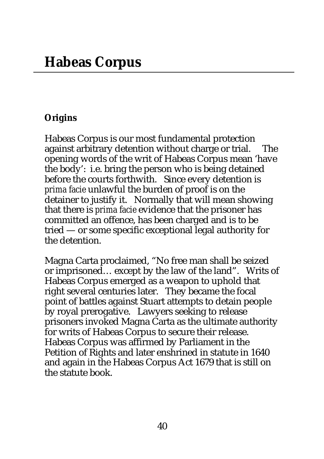## **Origins**

Habeas Corpus is our most fundamental protection against arbitrary detention without charge or trial. The opening words of the writ of Habeas Corpus mean 'have the body': i.e. bring the person who is being detained before the courts forthwith. Since every detention is *prima facie* unlawful the burden of proof is on the detainer to justify it. Normally that will mean showing that there is *prima facie* evidence that the prisoner has committed an offence, has been charged and is to be tried — or some specific exceptional legal authority for the detention.

Magna Carta proclaimed, "No free man shall be seized or imprisoned… except by the law of the land". Writs of Habeas Corpus emerged as a weapon to uphold that right several centuries later. They became the focal point of battles against Stuart attempts to detain people by royal prerogative. Lawyers seeking to release prisoners invoked Magna Carta as the ultimate authority for writs of Habeas Corpus to secure their release. Habeas Corpus was affirmed by Parliament in the Petition of Rights and later enshrined in statute in 1640 and again in the Habeas Corpus Act 1679 that is still on the statute book.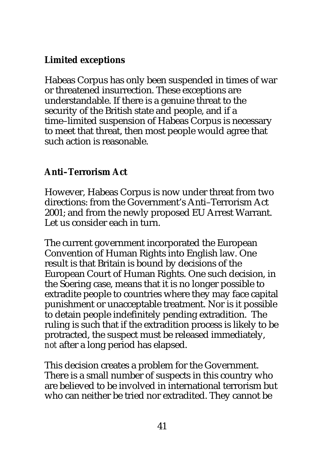# **Limited exceptions**

Habeas Corpus has only been suspended in times of war or threatened insurrection. These exceptions are understandable. If there is a genuine threat to the security of the British state and people, and if a time–limited suspension of Habeas Corpus is necessary to meet that threat, then most people would agree that such action is reasonable.

## **Anti–Terrorism Act**

However, Habeas Corpus is now under threat from two directions: from the Government's Anti–Terrorism Act 2001; and from the newly proposed EU Arrest Warrant. Let us consider each in turn.

The current government incorporated the European Convention of Human Rights into English law. One result is that Britain is bound by decisions of the European Court of Human Rights. One such decision, in the Soering case, means that it is no longer possible to extradite people to countries where they may face capital punishment or unacceptable treatment. Nor is it possible to detain people indefinitely pending extradition. The ruling is such that if the extradition process is likely to be protracted, the suspect must be released immediately, *not* after a long period has elapsed.

This decision creates a problem for the Government. There is a small number of suspects in this country who are believed to be involved in international terrorism but who can neither be tried nor extradited. They cannot be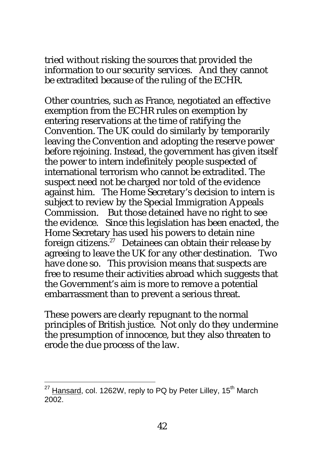tried without risking the sources that provided the information to our security services. And they cannot be extradited because of the ruling of the ECHR.

Other countries, such as France, negotiated an effective exemption from the ECHR rules on exemption by entering reservations at the time of ratifying the Convention. The UK could do similarly by temporarily leaving the Convention and adopting the reserve power before rejoining. Instead, the government has given itself the power to intern indefinitely people suspected of international terrorism who cannot be extradited. The suspect need not be charged nor told of the evidence against him. The Home Secretary's decision to intern is subject to review by the Special Immigration Appeals Commission. But those detained have no right to see the evidence. Since this legislation has been enacted, the Home Secretary has used his powers to detain nine foreign citizens.<sup>27</sup> Detainees can obtain their release by agreeing to leave the UK for any other destination. Two have done so. This provision means that suspects are free to resume their activities abroad which suggests that the Government's aim is more to remove a potential embarrassment than to prevent a serious threat.

These powers are clearly repugnant to the normal principles of British justice. Not only do they undermine the presumption of innocence, but they also threaten to erode the due process of the law.

 $\overline{a}$ 

 $27$  Hansard, col. 1262W, reply to PQ by Peter Lilley, 15<sup>th</sup> March 2002.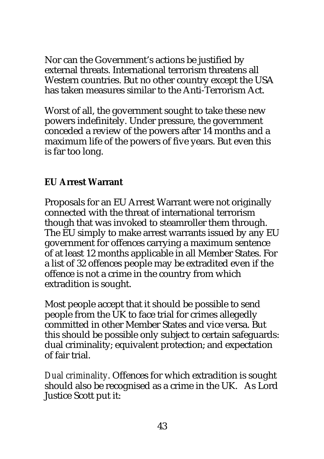Nor can the Government's actions be justified by external threats. International terrorism threatens all Western countries. But no other country except the USA has taken measures similar to the Anti-Terrorism Act.

Worst of all, the government sought to take these new powers indefinitely. Under pressure, the government conceded a review of the powers after 14 months and a maximum life of the powers of five years. But even this is far too long.

## **EU Arrest Warrant**

Proposals for an EU Arrest Warrant were not originally connected with the threat of international terrorism though that was invoked to steamroller them through. The EU simply to make arrest warrants issued by any EU government for offences carrying a maximum sentence of at least 12 months applicable in all Member States. For a list of 32 offences people may be extradited even if the offence is not a crime in the country from which extradition is sought.

Most people accept that it should be possible to send people from the UK to face trial for crimes allegedly committed in other Member States and vice versa. But this should be possible only subject to certain safeguards: dual criminality; equivalent protection; and expectation of fair trial.

*Dual criminality*. Offences for which extradition is sought should also be recognised as a crime in the UK. As Lord Justice Scott put it: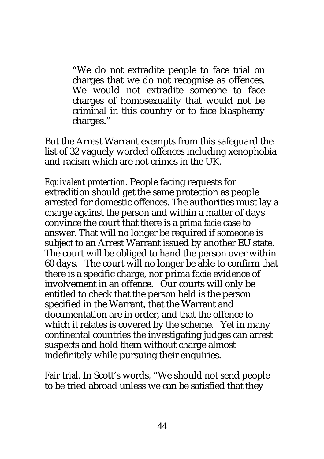"We do not extradite people to face trial on charges that we do not recognise as offences. We would not extradite someone to face charges of homosexuality that would not be criminal in this country or to face blasphemy charges."

But the Arrest Warrant exempts from this safeguard the list of 32 vaguely worded offences including xenophobia and racism which are not crimes in the UK.

*Equivalent protection*. People facing requests for extradition should get the same protection as people arrested for domestic offences. The authorities must lay a charge against the person and within a matter of days convince the court that there is a *prima facie* case to answer. That will no longer be required if someone is subject to an Arrest Warrant issued by another EU state. The court will be obliged to hand the person over within 60 days. The court will no longer be able to confirm that there is a specific charge, nor prima facie evidence of involvement in an offence. Our courts will only be entitled to check that the person held is the person specified in the Warrant, that the Warrant and documentation are in order, and that the offence to which it relates is covered by the scheme. Yet in many continental countries the investigating judges can arrest suspects and hold them without charge almost indefinitely while pursuing their enquiries.

*Fair trial*. In Scott's words, "We should not send people to be tried abroad unless we can be satisfied that they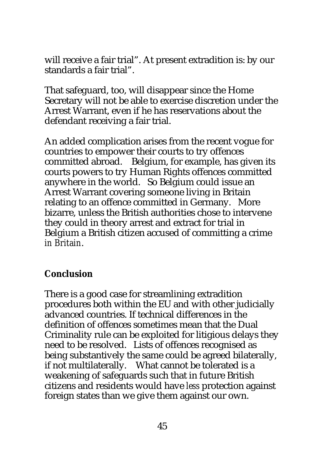will receive a fair trial". At present extradition is: by our standards a fair trial".

That safeguard, too, will disappear since the Home Secretary will not be able to exercise discretion under the Arrest Warrant, even if he has reservations about the defendant receiving a fair trial.

An added complication arises from the recent vogue for countries to empower their courts to try offences committed abroad. Belgium, for example, has given its courts powers to try Human Rights offences committed anywhere in the world. So Belgium could issue an Arrest Warrant covering someone living in Britain relating to an offence committed in Germany. More bizarre, unless the British authorities chose to intervene they could in theory arrest and extract for trial in Belgium a British citizen accused of committing a crime *in Britain*.

#### **Conclusion**

There is a good case for streamlining extradition procedures both within the EU and with other judicially advanced countries. If technical differences in the definition of offences sometimes mean that the Dual Criminality rule can be exploited for litigious delays they need to be resolved. Lists of offences recognised as being substantively the same could be agreed bilaterally, if not multilaterally. What cannot be tolerated is a weakening of safeguards such that in future British citizens and residents would have *less* protection against foreign states than we give them against our own.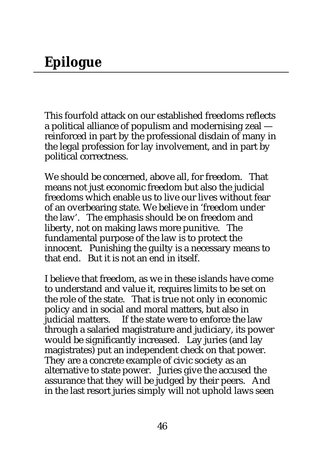This fourfold attack on our established freedoms reflects a political alliance of populism and modernising zeal reinforced in part by the professional disdain of many in the legal profession for lay involvement, and in part by political correctness.

We should be concerned, above all, for freedom. That means not just economic freedom but also the judicial freedoms which enable us to live our lives without fear of an overbearing state. We believe in 'freedom under the law'. The emphasis should be on freedom and liberty, not on making laws more punitive. The fundamental purpose of the law is to protect the innocent. Punishing the guilty is a necessary means to that end. But it is not an end in itself.

I believe that freedom, as we in these islands have come to understand and value it, requires limits to be set on the role of the state. That is true not only in economic policy and in social and moral matters, but also in judicial matters. If the state were to enforce the law through a salaried magistrature and judiciary, its power would be significantly increased. Lay juries (and lay magistrates) put an independent check on that power. They are a concrete example of civic society as an alternative to state power. Juries give the accused the assurance that they will be judged by their peers. And in the last resort juries simply will not uphold laws seen